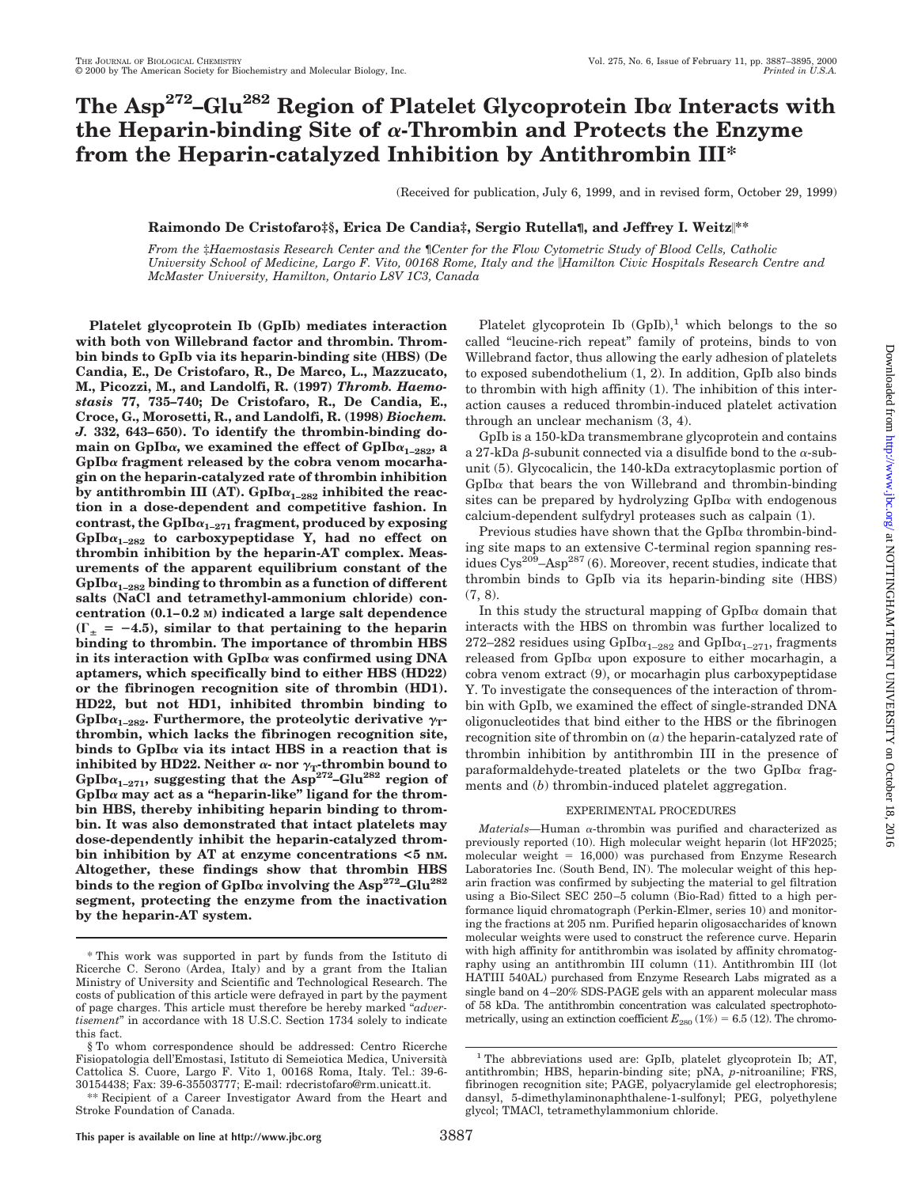# The Asp<sup>272</sup>–Glu<sup>282</sup> Region of Platelet Glycoprotein Iba Interacts with **the Heparin-binding Site of** <sup>a</sup>**-Thrombin and Protects the Enzyme from the Heparin-catalyzed Inhibition by Antithrombin III\***

(Received for publication, July 6, 1999, and in revised form, October 29, 1999)

### **Raimondo De Cristofaro‡§, Erica De Candia‡, Sergio Rutella¶, and Jeffrey I. Weitz**i**\*\***

*From the* ‡*Haemostasis Research Center and the* ¶*Center for the Flow Cytometric Study of Blood Cells, Catholic University School of Medicine, Largo F. Vito, 00168 Rome, Italy and the* i*Hamilton Civic Hospitals Research Centre and McMaster University, Hamilton, Ontario L8V 1C3, Canada*

**Platelet glycoprotein Ib (GpIb) mediates interaction with both von Willebrand factor and thrombin. Thrombin binds to GpIb via its heparin-binding site (HBS) (De Candia, E., De Cristofaro, R., De Marco, L., Mazzucato, M., Picozzi, M., and Landolfi, R. (1997)** *Thromb. Haemostasis* **77, 735–740; De Cristofaro, R., De Candia, E., Croce, G., Morosetti, R., and Landolfi, R. (1998)** *Biochem. J.* **332, 643–650). To identify the thrombin-binding do**main on GpIb $\alpha$ , we examined the effect of GpIb $\alpha_{1-282}$ , a **GpIb**<sup>a</sup> **fragment released by the cobra venom mocarhagin on the heparin-catalyzed rate of thrombin inhibition** by antithrombin III (AT). GpIb $\alpha_{1-282}$  inhibited the reac**tion in a dose-dependent and competitive fashion. In** contrast, the  $GpIb\alpha_{1-271}$  fragment, produced by exposing GpIb $\alpha_{1-282}$  to carboxypeptidase Y, had no effect on **thrombin inhibition by the heparin-AT complex. Measurements of the apparent equilibrium constant of the**  $GpIba<sub>1-282</sub>$  binding to thrombin as a function of different **salts (NaCl and tetramethyl-ammonium chloride) concentration (0.1–0.2 M) indicated a large salt dependence**  $(\Gamma_{\pm} = -4.5)$ , similar to that pertaining to the heparin **binding to thrombin. The importance of thrombin HBS in its interaction with GpIb**<sup>a</sup> **was confirmed using DNA aptamers, which specifically bind to either HBS (HD22) or the fibrinogen recognition site of thrombin (HD1). HD22, but not HD1, inhibited thrombin binding to** GpIb $\alpha_{1-282}$ . Furthermore, the proteolytic derivative  $\gamma_T$ **thrombin, which lacks the fibrinogen recognition site, binds to GpIb**<sup>a</sup> **via its intact HBS in a reaction that is inhibited by HD22. Neither**  $\alpha$ **- nor**  $\gamma$ <sub>T</sub>-thrombin bound to  $GpIb\alpha_{1-271}$ , suggesting that the  $Asp^{272}-Glu^{282}$  region of **GpIb**<sup>a</sup> **may act as a "heparin-like" ligand for the thrombin HBS, thereby inhibiting heparin binding to thrombin. It was also demonstrated that intact platelets may dose-dependently inhibit the heparin-catalyzed thrombin inhibition by AT at enzyme concentrations <5 nM. Altogether, these findings show that thrombin HBS** binds to the region of  $GpIb\alpha$  involving the Asp<sup>272</sup>– $Glu^{282}$ **segment, protecting the enzyme from the inactivation by the heparin-AT system.**

Platelet glycoprotein Ib  $(GpIb)$ ,<sup>1</sup> which belongs to the so called "leucine-rich repeat" family of proteins, binds to von Willebrand factor, thus allowing the early adhesion of platelets to exposed subendothelium (1, 2). In addition, GpIb also binds to thrombin with high affinity (1). The inhibition of this interaction causes a reduced thrombin-induced platelet activation through an unclear mechanism (3, 4).

GpIb is a 150-kDa transmembrane glycoprotein and contains a 27-kDa  $\beta$ -subunit connected via a disulfide bond to the  $\alpha$ -subunit (5). Glycocalicin, the 140-kDa extracytoplasmic portion of  $GpIb\alpha$  that bears the von Willebrand and thrombin-binding sites can be prepared by hydrolyzing  $GpIb\alpha$  with endogenous calcium-dependent sulfydryl proteases such as calpain (1).

Previous studies have shown that the  $GpIb\alpha$  thrombin-binding site maps to an extensive C-terminal region spanning residues  $Cys^{209} - Asp^{287}$  (6). Moreover, recent studies, indicate that thrombin binds to GpIb via its heparin-binding site (HBS) (7, 8).

In this study the structural mapping of  $GpIb\alpha$  domain that interacts with the HBS on thrombin was further localized to 272–282 residues using  $GpIb\alpha_{1-282}$  and  $GpIb\alpha_{1-271}$ , fragments released from GpIb<sup>a</sup> upon exposure to either mocarhagin, a cobra venom extract (9), or mocarhagin plus carboxypeptidase Y. To investigate the consequences of the interaction of thrombin with GpIb, we examined the effect of single-stranded DNA oligonucleotides that bind either to the HBS or the fibrinogen recognition site of thrombin on (*a*) the heparin-catalyzed rate of thrombin inhibition by antithrombin III in the presence of paraformaldehyde-treated platelets or the two GpIb<sup>a</sup> fragments and (*b*) thrombin-induced platelet aggregation.

### EXPERIMENTAL PROCEDURES

*Materials—*Human <sup>a</sup>-thrombin was purified and characterized as previously reported (10). High molecular weight heparin (lot HF2025; molecular weight =  $16,000$ ) was purchased from Enzyme Research Laboratories Inc. (South Bend, IN). The molecular weight of this heparin fraction was confirmed by subjecting the material to gel filtration using a Bio-Silect SEC 250–5 column (Bio-Rad) fitted to a high performance liquid chromatograph (Perkin-Elmer, series 10) and monitoring the fractions at 205 nm. Purified heparin oligosaccharides of known molecular weights were used to construct the reference curve. Heparin with high affinity for antithrombin was isolated by affinity chromatography using an antithrombin III column (11). Antithrombin III (lot HATIII 540AL) purchased from Enzyme Research Labs migrated as a single band on 4–20% SDS-PAGE gels with an apparent molecular mass of 58 kDa. The antithrombin concentration was calculated spectrophotometrically, using an extinction coefficient  $E_{280}$  (1%) = 6.5 (12). The chromo-

<sup>\*</sup> This work was supported in part by funds from the Istituto di Ricerche C. Serono (Ardea, Italy) and by a grant from the Italian Ministry of University and Scientific and Technological Research. The costs of publication of this article were defrayed in part by the payment of page charges. This article must therefore be hereby marked "*advertisement*" in accordance with 18 U.S.C. Section 1734 solely to indicate this fact.

<sup>§</sup> To whom correspondence should be addressed: Centro Ricerche Fisiopatologia dell'Emostasi, Istituto di Semeiotica Medica, Universita` Cattolica S. Cuore, Largo F. Vito 1, 00168 Roma, Italy. Tel.: 39-6- 30154438; Fax: 39-6-35503777; E-mail: rdecristofaro@rm.unicatt.it.

<sup>\*\*</sup> Recipient of a Career Investigator Award from the Heart and Stroke Foundation of Canada.

<sup>&</sup>lt;sup>1</sup> The abbreviations used are: GpIb, platelet glycoprotein Ib; AT, antithrombin; HBS, heparin-binding site; pNA, *p*-nitroaniline; FRS, fibrinogen recognition site; PAGE, polyacrylamide gel electrophoresis; dansyl, 5-dimethylaminonaphthalene-1-sulfonyl; PEG, polyethylene glycol; TMACl, tetramethylammonium chloride.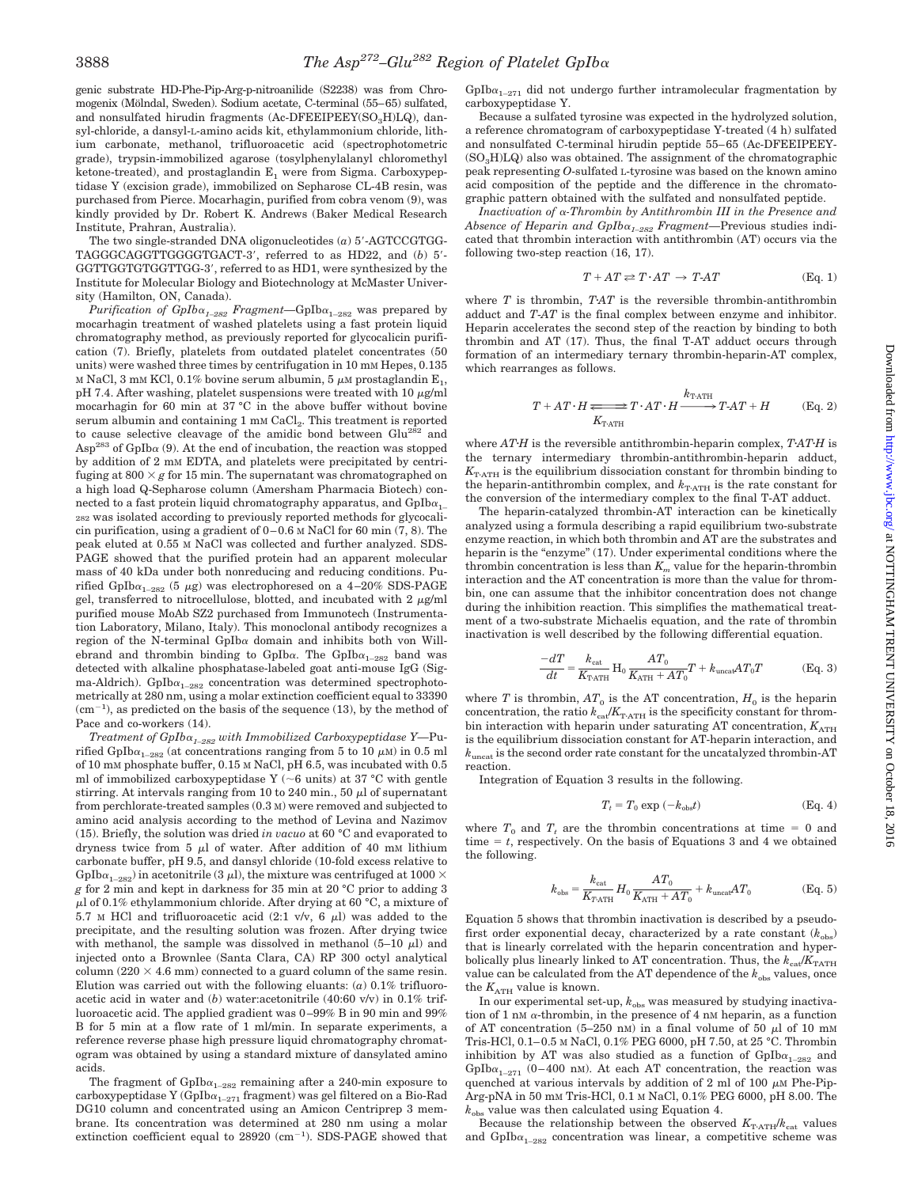genic substrate HD-Phe-Pip-Arg-p-nitroanilide (S2238) was from Chromogenix (Mölndal, Sweden). Sodium acetate, C-terminal (55–65) sulfated, and nonsulfated hirudin fragments (Ac-DFEEIPEEY( $SO_3H$ )LQ), dansyl-chloride, a dansyl-L-amino acids kit, ethylammonium chloride, lithium carbonate, methanol, trifluoroacetic acid (spectrophotometric grade), trypsin-immobilized agarose (tosylphenylalanyl chloromethyl ketone-treated), and prostaglandin  $E_1$  were from Sigma. Carboxypeptidase Y (excision grade), immobilized on Sepharose CL-4B resin, was purchased from Pierce. Mocarhagin, purified from cobra venom (9), was kindly provided by Dr. Robert K. Andrews (Baker Medical Research Institute, Prahran, Australia).

The two single-stranded DNA oligonucleotides  $(a)$  5'-AGTCCGTGG-TAGGGCAGGTTGGGGTGACT-3', referred to as HD22, and (*b*) 5'-GGTTGGTGTGGTTGG-3', referred to as HD1, were synthesized by the Institute for Molecular Biology and Biotechnology at McMaster University (Hamilton, ON, Canada).

*Purification of GpIb* $\alpha_{1-282}$  *Fragment*—GpIb $\alpha_{1-282}$  was prepared by mocarhagin treatment of washed platelets using a fast protein liquid chromatography method, as previously reported for glycocalicin purification (7). Briefly, platelets from outdated platelet concentrates (50 units) were washed three times by centrifugation in 10 mM Hepes, 0.135  $\times$  NaCl, 3 mM KCl, 0.1% bovine serum albumin, 5  $\mu$  m prostaglandin  $\rm{E}_{1},$ pH 7.4. After washing, platelet suspensions were treated with 10  $\mu$ g/ml mocarhagin for 60 min at 37 °C in the above buffer without bovine serum albumin and containing 1 mm CaCl<sub>2</sub>. This treatment is reported to cause selective cleavage of the amidic bond between Glu<sup>282</sup> and  $\text{Asp}^{283}$  of GpIb $\alpha$  (9). At the end of incubation, the reaction was stopped by addition of 2 mM EDTA, and platelets were precipitated by centrifuging at  $800 \times g$  for 15 min. The supernatant was chromatographed on a high load Q-Sepharose column (Amersham Pharmacia Biotech) connected to a fast protein liquid chromatography apparatus, and  $GpIb\alpha_{1-}$ 282 was isolated according to previously reported methods for glycocalicin purification, using a gradient of 0–0.6 M NaCl for 60 min (7, 8). The peak eluted at 0.55 M NaCl was collected and further analyzed. SDS-PAGE showed that the purified protein had an apparent molecular mass of 40 kDa under both nonreducing and reducing conditions. Purified GpIb $\alpha_{1-282}$  (5  $\mu$ g) was electrophoresed on a 4–20% SDS-PAGE gel, transferred to nitrocellulose, blotted, and incubated with  $2 \mu g/ml$ purified mouse MoAb SZ2 purchased from Immunotech (Instrumentation Laboratory, Milano, Italy). This monoclonal antibody recognizes a region of the N-terminal GpIb $\alpha$  domain and inhibits both von Willebrand and thrombin binding to GpIba. The GpIb $\alpha_{1-282}$  band was detected with alkaline phosphatase-labeled goat anti-mouse IgG (Sigma-Aldrich). GpIb $\alpha_{1-282}$  concentration was determined spectrophotometrically at 280 nm, using a molar extinction coefficient equal to 33390  $(cm^{-1})$ , as predicted on the basis of the sequence (13), by the method of Pace and co-workers (14).

*Treatment of GpIb*<sup>a</sup>*1–282 with Immobilized Carboxypeptidase Y—*Purified GpIb $\alpha_{1-282}$  (at concentrations ranging from 5 to 10  $\mu$ M) in 0.5 ml of 10 mM phosphate buffer, 0.15 M NaCl, pH 6.5, was incubated with 0.5 ml of immobilized carboxypeptidase Y ( $\sim$ 6 units) at 37 °C with gentle stirring. At intervals ranging from 10 to 240 min., 50  $\mu$ l of supernatant from perchlorate-treated samples (0.3 M) were removed and subjected to amino acid analysis according to the method of Levina and Nazimov (15). Briefly, the solution was dried *in vacuo* at 60 °C and evaporated to dryness twice from 5  $\mu$ l of water. After addition of 40 mM lithium carbonate buffer, pH 9.5, and dansyl chloride (10-fold excess relative to GpIb $\alpha_{1-282}$ ) in acetonitrile (3  $\mu$ l), the mixture was centrifuged at 1000  $\times$ *g* for 2 min and kept in darkness for 35 min at 20 °C prior to adding 3  $\mu$ l of 0.1% ethylammonium chloride. After drying at 60 °C, a mixture of  $5.7$  M HCl and trifluoroacetic acid (2:1 v/v, 6  $\mu$ l) was added to the precipitate, and the resulting solution was frozen. After drying twice with methanol, the sample was dissolved in methanol  $(5-10 \mu l)$  and injected onto a Brownlee (Santa Clara, CA) RP 300 octyl analytical column (220  $\times$  4.6 mm) connected to a guard column of the same resin. Elution was carried out with the following eluants: (*a*) 0.1% trifluoroacetic acid in water and (*b*) water:acetonitrile (40:60 v/v) in 0.1% trifluoroacetic acid. The applied gradient was 0–99% B in 90 min and 99% B for 5 min at a flow rate of 1 ml/min. In separate experiments, a reference reverse phase high pressure liquid chromatography chromatogram was obtained by using a standard mixture of dansylated amino acids.

The fragment of  $Gplb\alpha_{1-282}$  remaining after a 240-min exposure to carboxypeptidase Y $({\rm Gplb} \alpha_{\rm 1-271}$  fragment) was gel filtered on a Bio-Rad DG10 column and concentrated using an Amicon Centriprep 3 membrane. Its concentration was determined at 280 nm using a molar extinction coefficient equal to  $28920$  (cm<sup>-1</sup>). SDS-PAGE showed that

GpIb $\alpha_{1-271}$  did not undergo further intramolecular fragmentation by carboxypeptidase Y.

Because a sulfated tyrosine was expected in the hydrolyzed solution, a reference chromatogram of carboxypeptidase Y-treated (4 h) sulfated and nonsulfated C-terminal hirudin peptide 55–65 (Ac-DFEEIPEEY-  $(SO_3H)LQ$ ) also was obtained. The assignment of the chromatographic peak representing *O*-sulfated L-tyrosine was based on the known amino acid composition of the peptide and the difference in the chromatographic pattern obtained with the sulfated and nonsulfated peptide.

*Inactivation of* <sup>a</sup>*-Thrombin by Antithrombin III in the Presence and Absence of Heparin and GpIb*<sup>a</sup>*1–282 Fragment—*Previous studies indicated that thrombin interaction with antithrombin (AT) occurs via the following two-step reaction (16, 17).

$$
T + AT \rightleftharpoons T \cdot AT \rightarrow T \cdot AT \tag{Eq. 1}
$$

where  $T$  is thrombin,  $TAT$  is the reversible thrombin-antithrombin adduct and *T*-*AT* is the final complex between enzyme and inhibitor. Heparin accelerates the second step of the reaction by binding to both thrombin and AT (17). Thus, the final T-AT adduct occurs through formation of an intermediary ternary thrombin-heparin-AT complex, which rearranges as follows.

$$
T + AT \cdot H \xrightarrow[K_{\text{T-ATH}} T \cdot AT \cdot H \xrightarrow{k_{\text{T-ATH}} T \cdot AT + H} T \cdot AT + H \qquad \text{(Eq. 2)}
$$

where  $ATH$  is the reversible antithrombin-heparin complex,  $TATH$  is the ternary intermediary thrombin-antithrombin-heparin adduct,  $K_{\text{T-ATH}}$  is the equilibrium dissociation constant for thrombin binding to the heparin-antithrombin complex, and  $k_{\text{T-ATH}}$  is the rate constant for the conversion of the intermediary complex to the final T-AT adduct.

The heparin-catalyzed thrombin-AT interaction can be kinetically analyzed using a formula describing a rapid equilibrium two-substrate enzyme reaction, in which both thrombin and AT are the substrates and heparin is the "enzyme" (17). Under experimental conditions where the thrombin concentration is less than  $K_m$  value for the heparin-thrombin interaction and the AT concentration is more than the value for thrombin, one can assume that the inhibitor concentration does not change during the inhibition reaction. This simplifies the mathematical treatment of a two-substrate Michaelis equation, and the rate of thrombin inactivation is well described by the following differential equation.

$$
\frac{-dT}{dt} = \frac{k_{\text{cat}}}{K_{\text{T-ATH}}} H_0 \frac{AT_0}{K_{\text{ATH}} + AT_0} T + k_{\text{uncat}} AT_0 T \tag{Eq. 3}
$$

where *T* is thrombin,  $AT_0$  is the AT concentration,  $H_0$  is the heparin concentration, the ratio  $k_{\text{cat}}/K_{\text{T-ATH}}$  is the specificity constant for thrombin interaction with heparin under saturating AT concentration,  $K_{\text{ATH}}$ is the equilibrium dissociation constant for AT-heparin interaction, and  $k_{\rm uncat}$  is the second order rate constant for the uncatalyzed thrombin-AT reaction.

Integration of Equation 3 results in the following.

$$
T_t = T_0 \exp(-k_{\text{obs}}t) \tag{Eq. 4}
$$

where  $T_0$  and  $T_t$  are the thrombin concentrations at time = 0 and time  $t$ , respectively. On the basis of Equations 3 and 4 we obtained the following.

$$
k_{\text{obs}} = \frac{k_{\text{cat}}}{K_{T\text{ATH}}} H_0 \frac{AT_0}{K_{\text{ATH}} + AT_0} + k_{\text{uncat}} AT_0 \tag{Eq. 5}
$$

Equation 5 shows that thrombin inactivation is described by a pseudofirst order exponential decay, characterized by a rate constant  $(k_{obs})$ that is linearly correlated with the heparin concentration and hyperbolically plus linearly linked to AT concentration. Thus, the  $k_{\text{ca}}/K_{\text{TATH}}$ value can be calculated from the AT dependence of the  $k_{obs}$  values, once the  $K_{\text{ATH}}$  value is known.

In our experimental set-up,  $k_{\text{obs}}$  was measured by studying inactivation of 1 nM  $\alpha$ -thrombin, in the presence of 4 nM heparin, as a function of AT concentration  $(5-250 \text{ nm})$  in a final volume of 50  $\mu$ l of 10 mM Tris-HCl, 0.1–0.5 M NaCl, 0.1% PEG 6000, pH 7.50, at 25 °C. Thrombin inhibition by AT was also studied as a function of  $GpIb\alpha_{1-282}$  and GpIb $\alpha_{1-271}$  (0–400 nM). At each AT concentration, the reaction was quenched at various intervals by addition of 2 ml of 100  $\mu$ M Phe-Pip-Arg-pNA in 50 mM Tris-HCl, 0.1 M NaCl, 0.1% PEG 6000, pH 8.00. The *k*obs value was then calculated using Equation 4.

Because the relationship between the observed  $K_{\text{T-ATH}}/k_{\text{cat}}$  values and  $GpIb\alpha_{1-282}$  concentration was linear, a competitive scheme was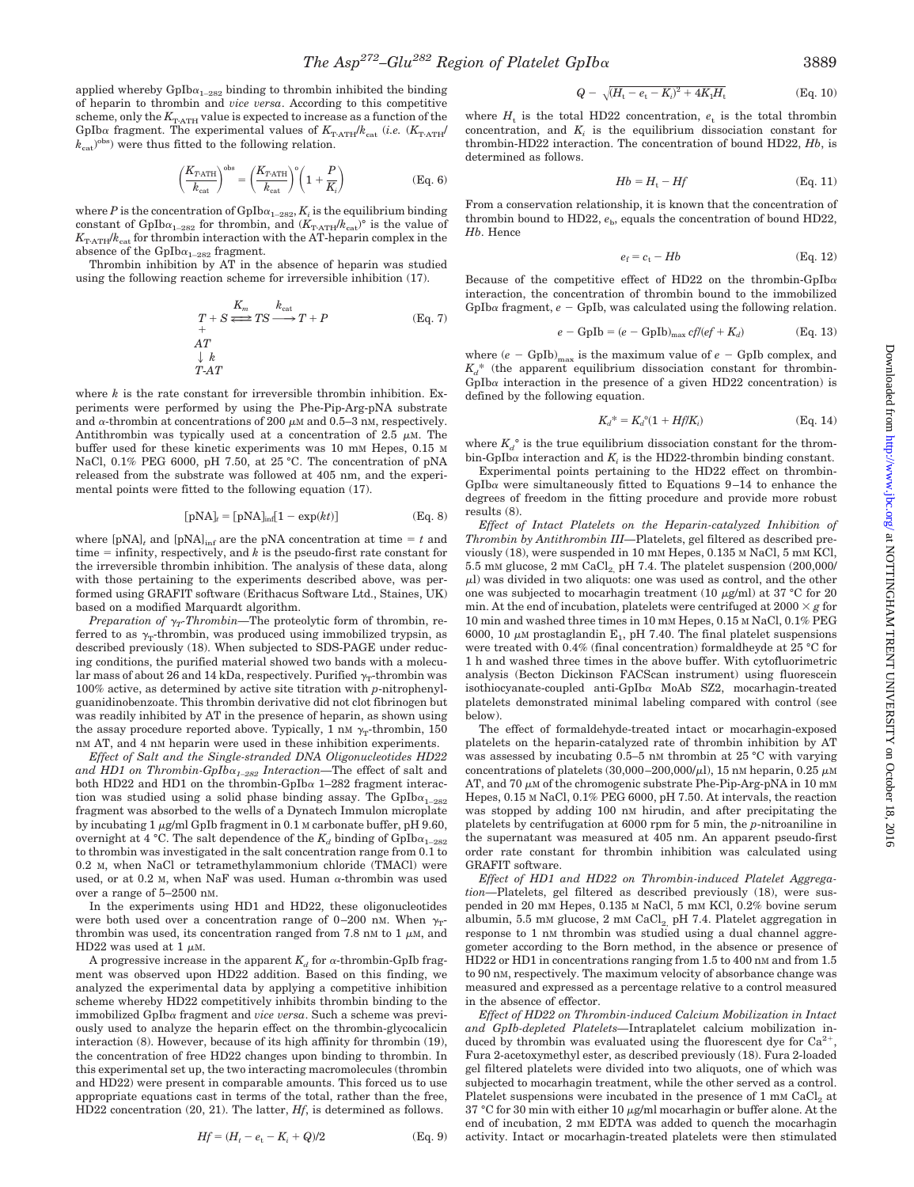applied whereby  $GpIb\alpha_{1-282}$  binding to thrombin inhibited the binding of heparin to thrombin and *vice versa*. According to this competitive scheme, only the  $K_{\text{T-ATH}}$  value is expected to increase as a function of the GpIba fragment. The experimental values of  $K_{\text{T-ATH}}/k_{\text{cat}}$  (*i.e.* ( $K_{\text{T-ATH}}$ )  $(k<sub>cat</sub>)<sup>obs</sup>$  were thus fitted to the following relation.

$$
\left(\frac{K_{T\text{-ATH}}}{k_{\text{cat}}}\right)^{\text{obs}} = \left(\frac{K_{T\text{-ATH}}}{k_{\text{cat}}}\right)^{\text{o}} \left(1 + \frac{P}{K_i}\right)
$$
(Eq. 6)

where  $P$  is the concentration of  $\mathrm{Gplb}{\alpha_{1-282}},$   $K_i$  is the equilibrium binding constant of GpIb $\alpha_{1-282}$  for thrombin, and  $(K_{\text{T-ATH}}/k_{\text{cat}})^\circ$  is the value of *K*TzATH/*k*cat for thrombin interaction with the AT-heparin complex in the absence of the  $GpIb\alpha_{1-282}$  fragment.

Thrombin inhibition by AT in the absence of heparin was studied using the following reaction scheme for irreversible inhibition (17).

$$
\begin{array}{l}\nT + S \xrightarrow{K_m} TS \xrightarrow{k_{\text{cat}}} T + P \\
+ A T \\
\downarrow k \\
T - A T\n\end{array} \qquad \qquad (\text{Eq. 7})
$$

where *k* is the rate constant for irreversible thrombin inhibition. Experiments were performed by using the Phe-Pip-Arg-pNA substrate and  $\alpha$ -thrombin at concentrations of 200  $\mu$ M and 0.5–3 nM, respectively. Antithrombin was typically used at a concentration of  $2.5 \mu M$ . The buffer used for these kinetic experiments was 10 mM Hepes, 0.15 M NaCl, 0.1% PEG 6000, pH 7.50, at 25 °C. The concentration of pNA released from the substrate was followed at 405 nm, and the experimental points were fitted to the following equation (17).

$$
[pNA]_t = [pNA]_{\text{inf}}[1 - \exp(kt)] \tag{Eq. 8}
$$

where  $[pNA]$ <sub>*t*</sub> and  $[pNA]$ <sub>inf</sub> are the pNA concentration at time  $= t$  and time  $=$  infinity, respectively, and  $k$  is the pseudo-first rate constant for the irreversible thrombin inhibition. The analysis of these data, along with those pertaining to the experiments described above, was performed using GRAFIT software (Erithacus Software Ltd., Staines, UK) based on a modified Marquardt algorithm.

*Preparation of*  $\gamma_T$ -*Thrombin*—The proteolytic form of thrombin, referred to as  $\gamma$ -thrombin, was produced using immobilized trypsin, as described previously (18). When subjected to SDS-PAGE under reducing conditions, the purified material showed two bands with a molecular mass of about 26 and 14 kDa, respectively. Purified  $\gamma$ -thrombin was 100% active, as determined by active site titration with *p*-nitrophenylguanidinobenzoate. This thrombin derivative did not clot fibrinogen but was readily inhibited by AT in the presence of heparin, as shown using the assay procedure reported above. Typically, 1 nM  $\gamma_T$ -thrombin, 150 nM AT, and 4 nM heparin were used in these inhibition experiments.

*Effect of Salt and the Single-stranded DNA Oligonucleotides HD22 and HD1 on Thrombin-GpIb*<sup>a</sup>*1–282 Interaction—*The effect of salt and both HD22 and HD1 on the thrombin-GpIb $\alpha$  1–282 fragment interaction was studied using a solid phase binding assay. The  $GpIb\alpha_{1-282}$ fragment was absorbed to the wells of a Dynatech Immulon microplate by incubating  $1 \mu$ g/ml GpIb fragment in 0.1 M carbonate buffer, pH 9.60, overnight at 4 °C. The salt dependence of the  $K_d$  binding of GpIb $\alpha_{1-282}$ to thrombin was investigated in the salt concentration range from 0.1 to 0.2 M, when NaCl or tetramethylammonium chloride (TMACl) were used, or at 0.2 M, when NaF was used. Human  $\alpha$ -thrombin was used over a range of 5–2500 nM.

In the experiments using HD1 and HD22, these oligonucleotides were both used over a concentration range of 0–200 nm. When  $\gamma_{T}$ thrombin was used, its concentration ranged from 7.8 nM to 1  $\mu$ M, and HD22 was used at 1  $\mu$ M.

A progressive increase in the apparent  $K_d$  for  $\alpha\text{-thrombin-GpIb}$  fragment was observed upon HD22 addition. Based on this finding, we analyzed the experimental data by applying a competitive inhibition scheme whereby HD22 competitively inhibits thrombin binding to the immobilized GpIb<sup>a</sup> fragment and *vice versa*. Such a scheme was previously used to analyze the heparin effect on the thrombin-glycocalicin interaction (8). However, because of its high affinity for thrombin (19), the concentration of free HD22 changes upon binding to thrombin. In this experimental set up, the two interacting macromolecules (thrombin and HD22) were present in comparable amounts. This forced us to use appropriate equations cast in terms of the total, rather than the free, HD22 concentration (20, 21). The latter, *Hf*, is determined as follows.

$$
Hf = (H_t - e_t - K_i + Q)/2
$$
 (Eq. 9)

$$
Q - \sqrt{(H_t - e_t - K_i)^2 + 4K_1H_t}
$$
 (Eq. 10)

where  $H_t$  is the total HD22 concentration,  $e_t$  is the total thrombin concentration, and  $K_i$  is the equilibrium dissociation constant for thrombin-HD22 interaction. The concentration of bound HD22, *Hb*, is determined as follows.

$$
Hb = H_{t} - Hf \tag{Eq. 11}
$$

From a conservation relationship, it is known that the concentration of thrombin bound to HD22,  $e_b$ , equals the concentration of bound HD22, *Hb*. Hence

$$
e_{\rm f} = c_{\rm t} - Hb \tag{Eq. 12}
$$

Because of the competitive effect of HD22 on the thrombin-GpIb $\alpha$ interaction, the concentration of thrombin bound to the immobilized GpIba fragment,  $e - GpIb$ , was calculated using the following relation.

$$
e - \text{GpIb} = (e - \text{GpIb})_{\text{max}} \text{cf}/(\text{ef} + \text{K}_d) \tag{Eq. 13}
$$

where  $(e - GpIb)_{max}$  is the maximum value of  $e - GpIb$  complex, and  $K_d^*$  (the apparent equilibrium dissociation constant for thrombin- $GpIb\alpha$  interaction in the presence of a given HD22 concentration) is defined by the following equation.

$$
K_d^* = K_d^0 (1 + Hf/K_i)
$$
 (Eq. 14)

where  $K_d^{\circ}$  is the true equilibrium dissociation constant for the thrombin-GpIb $\alpha$  interaction and  $K_i$  is the HD22-thrombin binding constant.

Experimental points pertaining to the HD22 effect on thrombin- $GpIb\alpha$  were simultaneously fitted to Equations 9–14 to enhance the degrees of freedom in the fitting procedure and provide more robust results (8).

*Effect of Intact Platelets on the Heparin-catalyzed Inhibition of Thrombin by Antithrombin III—*Platelets, gel filtered as described previously (18), were suspended in 10 mM Hepes, 0.135 M NaCl, 5 mM KCl,  $5.5$  mM glucose,  $2$  mM  $\rm CaCl_{2,}$  pH 7.4. The platelet suspension  $(200,000/$  $\mu$ l) was divided in two aliquots: one was used as control, and the other one was subjected to mocarhagin treatment (10  $\mu$ g/ml) at 37 °C for 20 min. At the end of incubation, platelets were centrifuged at  $2000 \times g$  for 10 min and washed three times in 10 mM Hepes, 0.15 M NaCl, 0.1% PEG 6000, 10  $\mu$ M prostaglandin E<sub>1</sub>, pH 7.40. The final platelet suspensions were treated with 0.4% (final concentration) formaldheyde at 25 °C for 1 h and washed three times in the above buffer. With cytofluorimetric analysis (Becton Dickinson FACScan instrument) using fluorescein isothiocyanate-coupled anti-GpIb<sup>a</sup> MoAb SZ2, mocarhagin-treated platelets demonstrated minimal labeling compared with control (see below).

The effect of formaldehyde-treated intact or mocarhagin-exposed platelets on the heparin-catalyzed rate of thrombin inhibition by AT was assessed by incubating  $0.5-5$  nM thrombin at  $25^{\circ}$ C with varying concentrations of platelets (30,000–200,000/ $\mu$ l), 15 nM heparin, 0.25  $\mu$ M AT, and 70  $\mu$ M of the chromogenic substrate Phe-Pip-Arg-pNA in 10 mM Hepes, 0.15 M NaCl, 0.1% PEG 6000, pH 7.50. At intervals, the reaction was stopped by adding 100 nM hirudin, and after precipitating the platelets by centrifugation at 6000 rpm for 5 min, the *p*-nitroaniline in the supernatant was measured at 405 nm. An apparent pseudo-first order rate constant for thrombin inhibition was calculated using GRAFIT software.

*Effect of HD1 and HD22 on Thrombin-induced Platelet Aggregation—*Platelets, gel filtered as described previously (18), were suspended in 20 mM Hepes, 0.135 M NaCl, 5 mM KCl, 0.2% bovine serum albumin, 5.5 mM glucose, 2 mM  $CaCl<sub>2</sub>$  pH 7.4. Platelet aggregation in response to 1 nM thrombin was studied using a dual channel aggregometer according to the Born method, in the absence or presence of HD22 or HD1 in concentrations ranging from 1.5 to 400 nM and from 1.5 to 90 nM, respectively. The maximum velocity of absorbance change was measured and expressed as a percentage relative to a control measured in the absence of effector.

*Effect of HD22 on Thrombin-induced Calcium Mobilization in Intact and GpIb-depleted Platelets—*Intraplatelet calcium mobilization induced by thrombin was evaluated using the fluorescent dye for  $Ca^{2+}$ Fura 2-acetoxymethyl ester, as described previously (18). Fura 2-loaded gel filtered platelets were divided into two aliquots, one of which was subjected to mocarhagin treatment, while the other served as a control. Platelet suspensions were incubated in the presence of  $1 \text{ mM } CaCl<sub>e</sub>$  at 37 °C for 30 min with either 10  $\mu$ g/ml mocarhagin or buffer alone. At the end of incubation, 2 mM EDTA was added to quench the mocarhagin activity. Intact or mocarhagin-treated platelets were then stimulated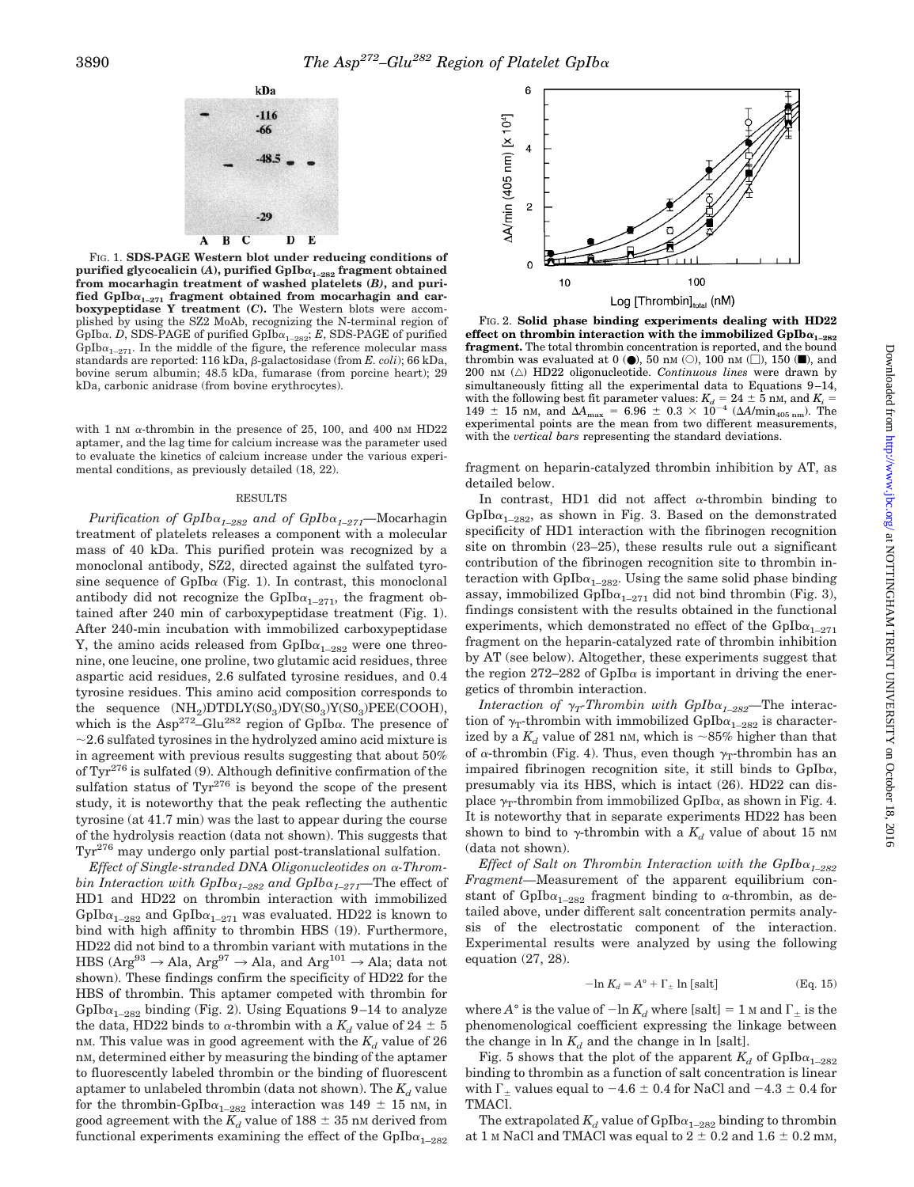

FIG. 1. **SDS-PAGE Western blot under reducing conditions of purified glycocalicin (***A***), purified GpIb**<sup>a</sup>**1–282 fragment obtained from mocarhagin treatment of washed platelets (***B)***, and puri**fied  $GpIb\alpha_{1-271}$  fragment obtained from mocarhagin and car**boxypeptidase Y treatment (***C***).** The Western blots were accomplished by using the SZ2 MoAb, recognizing the N-terminal region of GpIba. *D*, SDS-PAGE of purified  $GpIb\alpha_{1-282}$ ; *E*, SDS-PAGE of purified GpIb $\alpha_{1-271}$ . In the middle of the figure, the reference molecular mass standards are reported: 116 kDa, β-galactosidase (from *E. coli*); 66 kDa, bovine serum albumin; 48.5 kDa, fumarase (from porcine heart); 29 kDa, carbonic anidrase (from bovine erythrocytes).

with 1 nM  $\alpha$ -thrombin in the presence of 25, 100, and 400 nM HD22 aptamer, and the lag time for calcium increase was the parameter used to evaluate the kinetics of calcium increase under the various experimental conditions, as previously detailed (18, 22).

#### RESULTS

*Purification of GpIb*<sup>a</sup>*1–282 and of GpIb*a*1–271—*Mocarhagin treatment of platelets releases a component with a molecular mass of 40 kDa. This purified protein was recognized by a monoclonal antibody, SZ2, directed against the sulfated tyrosine sequence of GpIb $\alpha$  (Fig. 1). In contrast, this monoclonal antibody did not recognize the GpIb $\alpha_{1-271}$ , the fragment obtained after 240 min of carboxypeptidase treatment (Fig. 1). After 240-min incubation with immobilized carboxypeptidase Y, the amino acids released from  $GpIb\alpha_{1-282}$  were one threonine, one leucine, one proline, two glutamic acid residues, three aspartic acid residues, 2.6 sulfated tyrosine residues, and 0.4 tyrosine residues. This amino acid composition corresponds to the sequence  $(NH_2)DTDLY(S0_3)DY(S0_3)Y(S0_3)PEE(COOH),$ which is the  $\text{Asp}^{272} - \text{Glu}^{282}$  region of  $\text{GpIb}\alpha$ . The presence of  $\sim$  2.6 sulfated tyrosines in the hydrolyzed amino acid mixture is in agreement with previous results suggesting that about 50% of  $\text{Tyr}^{276}$  is sulfated (9). Although definitive confirmation of the sulfation status of  $Tyr^{276}$  is beyond the scope of the present study, it is noteworthy that the peak reflecting the authentic tyrosine (at 41.7 min) was the last to appear during the course of the hydrolysis reaction (data not shown). This suggests that Tyr276 may undergo only partial post-translational sulfation.

*Effect of Single-stranded DNA Oligonucleotides on* <sup>a</sup>*-Thrombin Interaction with*  $Gplb\alpha_{1-282}$  *and*  $Gplb\alpha_{1-271}$ *—The effect of* HD1 and HD22 on thrombin interaction with immobilized GpIb $\alpha_{1-282}$  and GpIb $\alpha_{1-271}$  was evaluated. HD22 is known to bind with high affinity to thrombin HBS (19). Furthermore, HD22 did not bind to a thrombin variant with mutations in the HBS ( $Arg^{93} \rightarrow Ala$ ,  $Arg^{97} \rightarrow Ala$ , and  $Arg^{101} \rightarrow Ala$ ; data not shown). These findings confirm the specificity of HD22 for the HBS of thrombin. This aptamer competed with thrombin for GpIb $\alpha_{1-282}$  binding (Fig. 2). Using Equations 9–14 to analyze the data, HD22 binds to  $\alpha$ -thrombin with a  $K_d$  value of 24  $\pm$  5 nM. This value was in good agreement with the  $K_d$  value of 26 n<sub>M</sub>, determined either by measuring the binding of the aptamer to fluorescently labeled thrombin or the binding of fluorescent aptamer to unlabeled thrombin (data not shown). The  $K_d$  value for the thrombin-GpIb $\alpha_{1-282}$  interaction was 149  $\pm$  15 nm, in good agreement with the  $K_d$  value of 188  $\pm$  35 nm derived from functional experiments examining the effect of the  $GpIb\alpha_{1-282}$ 



FIG. 2. **Solid phase binding experiments dealing with HD22** effect on thrombin interaction with the immobilized  $GpIb\alpha_{1-282}$ **fragment.** The total thrombin concentration is reported, and the bound thrombin was evaluated at  $0(\bullet)$ , 50 nm ( $\circ$ ), 100 nm ( $\Box$ ), 150 ( $\blacksquare$ ), and 200 nM ( $\triangle$ ) HD22 oligonucleotide. *Continuous lines* were drawn by simultaneously fitting all the experimental data to Equations 9–14, with the following best fit parameter values:  $K_d = 24 \pm 5$  nM, and  $K_i = 149 \pm 15$  nM, and  $\Delta A_{\text{max}} = 6.96 \pm 0.3 \times 10^{-4}$  ( $\Delta A/\text{min}_{405 \text{ nm}}$ ). The experimental points are the mean from two different measurements, with the *vertical bars* representing the standard deviations.

fragment on heparin-catalyzed thrombin inhibition by AT, as detailed below.

In contrast, HD1 did not affect  $\alpha$ -thrombin binding to GpIb $\alpha_{1-282}$ , as shown in Fig. 3. Based on the demonstrated specificity of HD1 interaction with the fibrinogen recognition site on thrombin (23–25), these results rule out a significant contribution of the fibrinogen recognition site to thrombin interaction with  $GpIb\alpha_{1-282}$ . Using the same solid phase binding assay, immobilized GpIb $\alpha_{1-271}$  did not bind thrombin (Fig. 3), findings consistent with the results obtained in the functional experiments, which demonstrated no effect of the  $GpIb\alpha_{1-271}$ fragment on the heparin-catalyzed rate of thrombin inhibition by AT (see below). Altogether, these experiments suggest that the region 272–282 of GpIb $\alpha$  is important in driving the energetics of thrombin interaction.

*Interaction of*  $\gamma_T$ Thrombin with GpIb $\alpha_{1-282}$ —The interaction of  $\gamma_T$ -thrombin with immobilized GpIb $\alpha_{1-282}$  is characterized by a  $K_d$  value of 281 nm, which is  $\sim$ 85% higher than that of  $\alpha$ -thrombin (Fig. 4). Thus, even though  $\gamma_T$ -thrombin has an impaired fibrinogen recognition site, it still binds to  $GpIb\alpha$ , presumably via its HBS, which is intact (26). HD22 can displace  $\gamma_T$ -thrombin from immobilized GpIb $\alpha$ , as shown in Fig. 4. It is noteworthy that in separate experiments HD22 has been shown to bind to  $\gamma$ -thrombin with a  $K_d$  value of about 15 nm (data not shown).

*Effect of Salt on Thrombin Interaction with the*  $GpIb\alpha_{1-282}$ *Fragment—*Measurement of the apparent equilibrium constant of GpIb $\alpha_{1-282}$  fragment binding to  $\alpha$ -thrombin, as detailed above, under different salt concentration permits analysis of the electrostatic component of the interaction. Experimental results were analyzed by using the following equation (27, 28).

$$
-\ln K_d = A^{\circ} + \Gamma_{\pm} \ln \left[ \text{salt} \right] \tag{Eq. 15}
$$

where  $A^{\circ}$  is the value of  $-\ln K_d$  where [salt] = 1 M and  $\Gamma_{\pm}$  is the phenomenological coefficient expressing the linkage between the change in  $\ln K_d$  and the change in  $\ln$  [salt].

Fig. 5 shows that the plot of the apparent  $K_d$  of GpIba<sub>1–282</sub> binding to thrombin as a function of salt concentration is linear with  $\Gamma_+$  values equal to  $-4.6 \pm 0.4$  for NaCl and  $-4.3 \pm 0.4$  for TMACl.

The extrapolated  $K_d$  value of  $GpIb\alpha_{1-282}$  binding to thrombin at 1 M NaCl and TMACl was equal to  $2 \pm 0.2$  and  $1.6 \pm 0.2$  mM,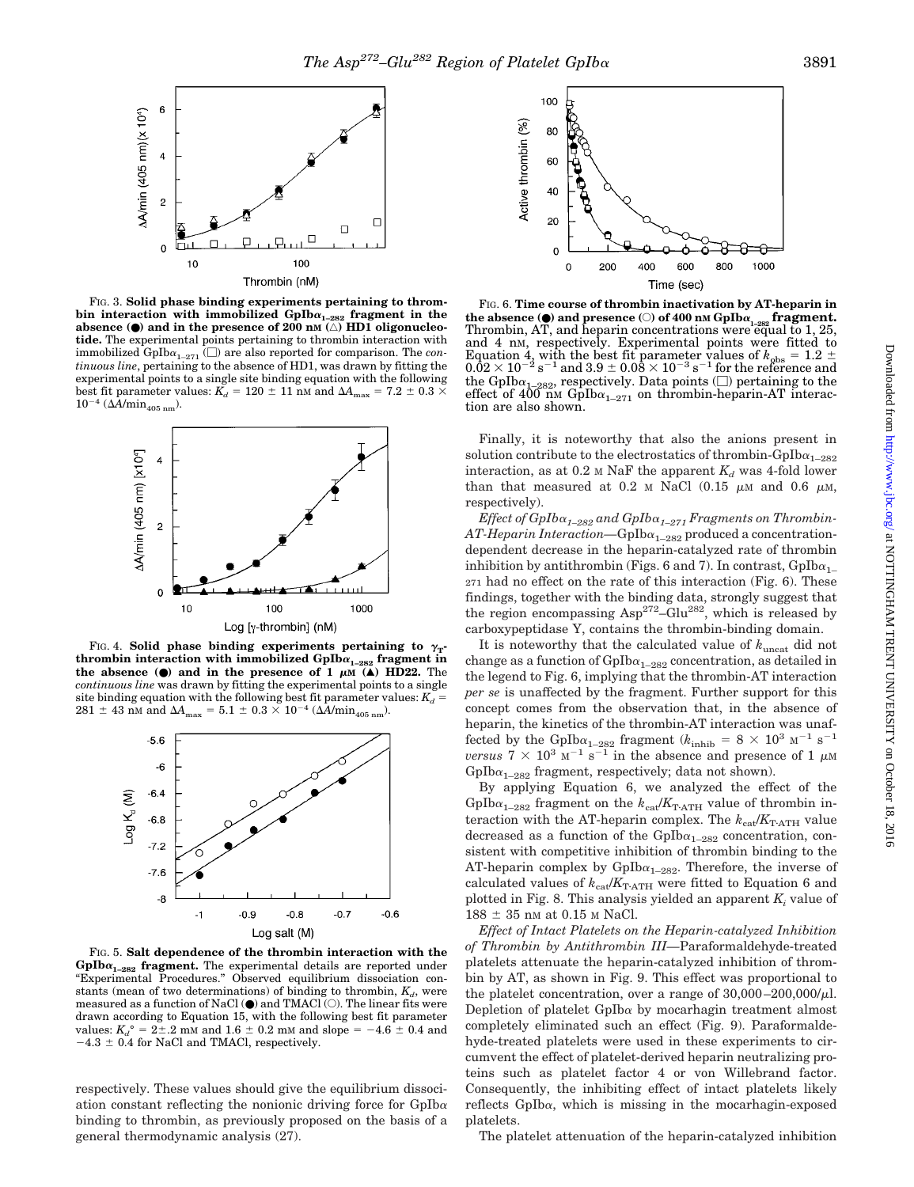

FIG. 3. **Solid phase binding experiments pertaining to thrombin interaction with immobilized GpIb**<sup>a</sup>**1–282 fragment in the absence (**●**) and in the presence of 200 nM (**'**) HD1 oligonucleotide.** The experimental points pertaining to thrombin interaction with immobilized  $GpIb\alpha_{1-271}$  ( $\square$ ) are also reported for comparison. The *continuous line*, pertaining to the absence of HD1, was drawn by fitting the experimental points to a single site binding equation with the following best fit parameter values:  $K_d = 120 \pm 11$  nM and  $\Delta A_{\text{max}} = 7.2 \pm 0.3 \times 10^{-10}$  $10^{-4}$  ( $\Delta A/min_{405 \text{ nm}}$ ).



FIG. 4. **Solid phase binding experiments pertaining to**  $\gamma_T$ **. thrombin interaction with immobilized GpIb** $\alpha_{1-282}$  **fragment in the absence (** $\bullet$ **) and in the presence of 1**  $\mu$ **M**  $(\triangle)$  HD22. The *continuous line* was drawn by fitting the experimental points to a single site binding equation with the following best fit parameter values:  $K_d =$  $281 \pm 43$  nM and  $\Delta A_{\text{max}} = 5.1 \pm 0.3 \times 10^{-4}$  ( $\Delta A/\text{min}_{405 \text{ nm}}$ ).



FIG. 5. **Salt dependence of the thrombin interaction with the GpIb**<sup>a</sup>**1–282 fragment.** The experimental details are reported under "Experimental Procedures." Observed equilibrium dissociation constants (mean of two determinations) of binding to thrombin,  $K_d$ , were measured as a function of NaCl  $(\bullet)$  and TMACl  $(\circ)$ . The linear fits were drawn according to Equation 15, with the following best fit parameter values:  $K_d^{\circ} = 2 \pm .2$  mm and  $1.6 \pm 0.2$  mm and slope =  $-4.6 \pm 0.4$  and  $-4.3 \pm 0.4$  for NaCl and TMACl, respectively.

respectively. These values should give the equilibrium dissociation constant reflecting the nonionic driving force for  $GpIb\alpha$ binding to thrombin, as previously proposed on the basis of a general thermodynamic analysis (27).



FIG. 6. **Time course of thrombin inactivation by AT-heparin in the absence (●) and presence** (○) of 400 nm GpIba<sub>1-282</sub> fragment.<br>Thrombin, AT, and heparin concentrations were equal to 1, 25, and 4 nM, respectively. Experimental points were fitted to Equation 4, with the best fit parameter values of  $k_{\text{obs}} = 1.2 \pm 0.02 \times 10^{-2} \text{ s}^{-1}$  and  $3.9 \pm 0.08 \times 10^{-3} \text{ s}^{-1}$  for the reference and the GpIb $\alpha_{1-282}$ , respectively. Data points ( $\square$ ) pertaining to the effect of  $400$  nm GpIb $\alpha_{1-271}$  on thrombin-heparin-AT interaction are also shown.

Finally, it is noteworthy that also the anions present in solution contribute to the electrostatics of thrombin-GpIb $\alpha_{1-282}$ interaction, as at  $0.2$  M NaF the apparent  $K_d$  was 4-fold lower than that measured at 0.2 M NaCl  $(0.15 \mu M)$  and 0.6  $\mu$ M, respectively).

*Effect of GpIb*<sup>a</sup>*1–282 and GpIb*<sup>a</sup>*1–271 Fragments on Thrombin-AT-Heparin Interaction*—GpIb $\alpha_{1-282}$  produced a concentrationdependent decrease in the heparin-catalyzed rate of thrombin inhibition by antithrombin (Figs. 6 and 7). In contrast,  $GpIb\alpha_{1-}$ 271 had no effect on the rate of this interaction (Fig. 6). These findings, together with the binding data, strongly suggest that the region encompassing  $\text{Asp}^{272} - \text{Glu}^{282}$ , which is released by carboxypeptidase Y, contains the thrombin-binding domain.

It is noteworthy that the calculated value of *k*uncat did not change as a function of  $GpIb\alpha_{1-282}$  concentration, as detailed in the legend to Fig. 6, implying that the thrombin-AT interaction *per se* is unaffected by the fragment. Further support for this concept comes from the observation that, in the absence of heparin, the kinetics of the thrombin-AT interaction was unaffected by the GpIb $\alpha_{1-282}$  fragment ( $k_{\text{inhib}} = 8 \times 10^3 \text{ m}^{-1} \text{ s}^{-1}$ *versus*  $7 \times 10^3$  M<sup>-1</sup> s<sup>-1</sup> in the absence and presence of 1  $\mu$ M  $GpIb\alpha_{1-282}$  fragment, respectively; data not shown).

By applying Equation 6, we analyzed the effect of the GpIb $\alpha_{1-282}$  fragment on the  $k_{\text{cat}}/K_{\text{T-ATH}}$  value of thrombin interaction with the AT-heparin complex. The  $k_{\text{cat}}/K_{\text{T-ATH}}$  value decreased as a function of the  $GpIb\alpha_{1-282}$  concentration, consistent with competitive inhibition of thrombin binding to the AT-heparin complex by  $GpIb\alpha_{1-282}$ . Therefore, the inverse of calculated values of  $k_\mathrm{cat}/K_\mathrm{TATH}$  were fitted to Equation 6 and plotted in Fig. 8. This analysis yielded an apparent  $K<sub>i</sub>$  value of  $188 \pm 35$  nm at 0.15 m NaCl.

*Effect of Intact Platelets on the Heparin-catalyzed Inhibition of Thrombin by Antithrombin III—*Paraformaldehyde-treated platelets attenuate the heparin-catalyzed inhibition of thrombin by AT, as shown in Fig. 9. This effect was proportional to the platelet concentration, over a range of  $30,000-200,000/\mu$ . Depletion of platelet  $GpIb\alpha$  by mocarhagin treatment almost completely eliminated such an effect (Fig. 9). Paraformaldehyde-treated platelets were used in these experiments to circumvent the effect of platelet-derived heparin neutralizing proteins such as platelet factor 4 or von Willebrand factor. Consequently, the inhibiting effect of intact platelets likely reflects GpIba, which is missing in the mocarhagin-exposed platelets.

The platelet attenuation of the heparin-catalyzed inhibition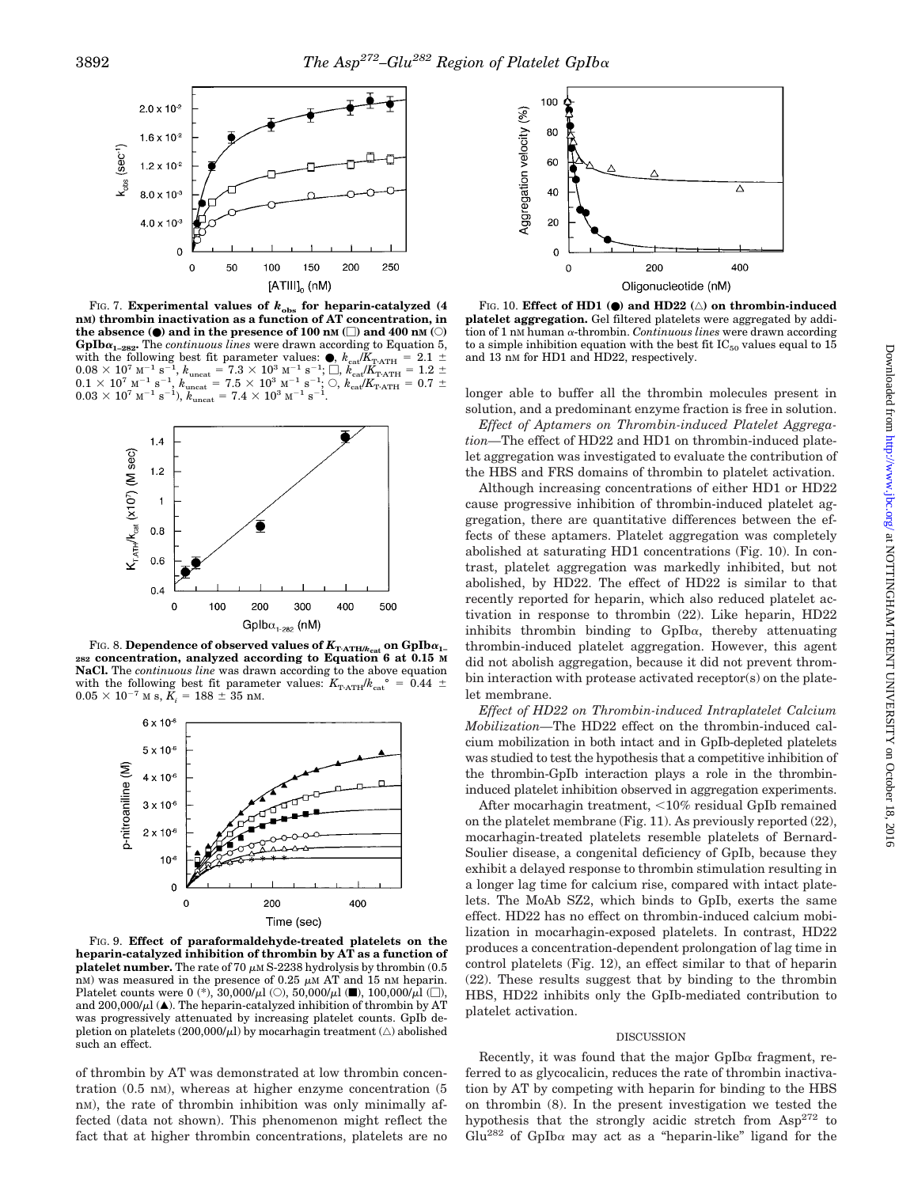

FIG. 7. **Experimental values of**  $k_{obs}$  **for heparin-catalyzed (4) nM) thrombin inactivation as a function of AT concentration, in the absence (●) and in the presence of 100 nM (□) and 400 nM (○) GpIb** $\alpha_{1-282}$ . The *continuous lines* were drawn according to Equation 5, with the following best fit parameter values:  $\bullet$ ,  $k_{\text{ca}}/K_{\text{T-ATH}} = 2.1 \pm$  $0.08 \times 10^7$  M<sup>-1</sup> s<sup>-1</sup>,  $k_{\rm uncat} = 7.3 \times 10^3$  M<sup>-1</sup> s<sup>-1</sup>;  $\Box$ ,  $k_{\rm cal}/K_{\rm TATH} = 1.2 \pm 0.1 \times 10^7$  M<sup>-1</sup> s<sup>-1</sup>,  $k_{\rm uncat} = 7.5 \times 10^3$  M<sup>-1</sup> s<sup>-1</sup>;  $\bigcirc$ ,  $k_{\rm ca}/K_{\rm TATH} = 0.7 \pm 0.03 \times 10^7$  M<sup>-1</sup> s<sup>-1</sup>),  $k_{\rm uncat} = 7.4$ 



FIG. 8. **Dependence of observed values of**  $K_{\text{T-ATH/}k_{\text{cat}}}$  **on GpIb** $\alpha_{1-282}$  **concentration, analyzed according to Equation 6 at 0.15 M NaCl.** The *continuous line* was drawn according to the above equation with the following best fit parameter values:  $K_{\text{T-ATH}}/k_{\text{cat}}^{\circ} = 0.44 \pm 0.05 \times 10^{-7}$  M s,  $K_i = 188 \pm 35$  nM.  $0.05 \times 10^{-7}$  M s,  $K_i$ 



FIG. 9. **Effect of paraformaldehyde-treated platelets on the heparin-catalyzed inhibition of thrombin by AT as a function of platelet number.** The rate of 70  $\mu$ M S-2238 hydrolysis by thrombin (0.5) nM) was measured in the presence of 0.25  $\mu$ M AT and 15 nM heparin. Platelet counts were 0 (\*),  $30,000/\mu$ l (○),  $50,000/\mu$ l (■),  $100,000/\mu$ l (□), and  $200,000/\mu$ l ( $\blacktriangle$ ). The heparin-catalyzed inhibition of thrombin by AT was progressively attenuated by increasing platelet counts. GpIb depletion on platelets  $(200,000/\mu l)$  by mocarhagin treatment  $(\triangle)$  abolished such an effect.

of thrombin by AT was demonstrated at low thrombin concentration  $(0.5 \text{ nm})$ , whereas at higher enzyme concentration  $(5 \text{ nm})$ nM), the rate of thrombin inhibition was only minimally affected (data not shown). This phenomenon might reflect the fact that at higher thrombin concentrations, platelets are no



FIG. 10. **Effect of HD1 (0) and HD22** ( $\triangle$ ) on thrombin-induced **platelet aggregation.** Gel filtered platelets were aggregated by addition of 1 nM human <sup>a</sup>-thrombin. *Continuous lines* were drawn according to a simple inhibition equation with the best fit  $IC_{50}$  values equal to 15 and 13 nM for HD1 and HD22, respectively.

longer able to buffer all the thrombin molecules present in solution, and a predominant enzyme fraction is free in solution.

*Effect of Aptamers on Thrombin-induced Platelet Aggregation—*The effect of HD22 and HD1 on thrombin-induced platelet aggregation was investigated to evaluate the contribution of the HBS and FRS domains of thrombin to platelet activation.

Although increasing concentrations of either HD1 or HD22 cause progressive inhibition of thrombin-induced platelet aggregation, there are quantitative differences between the effects of these aptamers. Platelet aggregation was completely abolished at saturating HD1 concentrations (Fig. 10). In contrast, platelet aggregation was markedly inhibited, but not abolished, by HD22. The effect of HD22 is similar to that recently reported for heparin, which also reduced platelet activation in response to thrombin (22). Like heparin, HD22 inhibits thrombin binding to  $GpIb\alpha$ , thereby attenuating thrombin-induced platelet aggregation. However, this agent did not abolish aggregation, because it did not prevent thrombin interaction with protease activated receptor(s) on the platelet membrane.

*Effect of HD22 on Thrombin-induced Intraplatelet Calcium Mobilization—*The HD22 effect on the thrombin-induced calcium mobilization in both intact and in GpIb-depleted platelets was studied to test the hypothesis that a competitive inhibition of the thrombin-GpIb interaction plays a role in the thrombininduced platelet inhibition observed in aggregation experiments.

After mocarhagin treatment, <10% residual GpIb remained on the platelet membrane (Fig. 11). As previously reported (22), mocarhagin-treated platelets resemble platelets of Bernard-Soulier disease, a congenital deficiency of GpIb, because they exhibit a delayed response to thrombin stimulation resulting in a longer lag time for calcium rise, compared with intact platelets. The MoAb SZ2, which binds to GpIb, exerts the same effect. HD22 has no effect on thrombin-induced calcium mobilization in mocarhagin-exposed platelets. In contrast, HD22 produces a concentration-dependent prolongation of lag time in control platelets (Fig. 12), an effect similar to that of heparin (22). These results suggest that by binding to the thrombin HBS, HD22 inhibits only the GpIb-mediated contribution to platelet activation.

#### DISCUSSION

Recently, it was found that the major  $GpIb\alpha$  fragment, referred to as glycocalicin, reduces the rate of thrombin inactivation by AT by competing with heparin for binding to the HBS on thrombin (8). In the present investigation we tested the hypothesis that the strongly acidic stretch from  $\text{Asp}^{272}$  to Glu<sup>282</sup> of GpIb $\alpha$  may act as a "heparin-like" ligand for the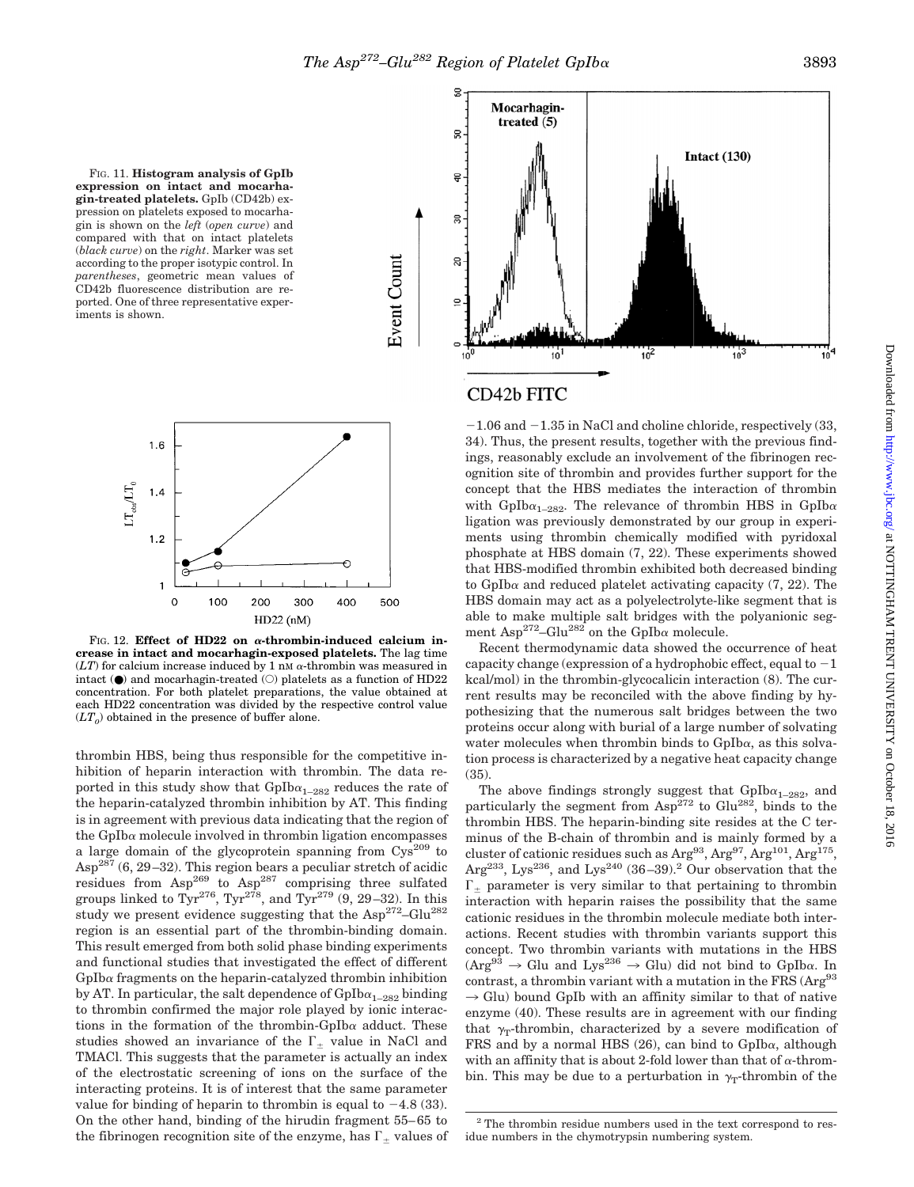Event Count

FIG. 11. **Histogram analysis of GpIb expression on intact and mocarhagin-treated platelets.** GpIb (CD42b) expression on platelets exposed to mocarhagin is shown on the *left* (*open curve*) and compared with that on intact platelets (*black curve*) on the *right*. Marker was set according to the proper isotypic control. In *parentheses*, geometric mean values of CD42b fluorescence distribution are reported. One of three representative experiments is shown.



FIG. 12. **Effect of HD22 on**  $\alpha$ **-thrombin-induced calcium increase in intact and mocarhagin-exposed platelets.** The lag time  $(LT)$  for calcium increase induced by 1 nM  $\alpha$ -thrombin was measured in intact ( $\bullet$ ) and mocarhagin-treated ( $\circ$ ) platelets as a function of HD22 concentration. For both platelet preparations, the value obtained at each HD22 concentration was divided by the respective control value  $(LT<sub>0</sub>)$  obtained in the presence of buffer alone.

thrombin HBS, being thus responsible for the competitive inhibition of heparin interaction with thrombin. The data reported in this study show that  $GpIb\alpha_{1-282}$  reduces the rate of the heparin-catalyzed thrombin inhibition by AT. This finding is in agreement with previous data indicating that the region of the GpIb $\alpha$  molecule involved in thrombin ligation encompasses a large domain of the glycoprotein spanning from  $Cys^{209}$  to  $\text{Asp}^{287}$  (6, 29–32). This region bears a peculiar stretch of acidic residues from  $\text{Asp}^{269}$  to  $\text{Asp}^{287}$  comprising three sulfated groups linked to  $Tyr^{276}$ ,  $Tyr^{278}$ , and  $Tyr^{279}$  (9, 29–32). In this study we present evidence suggesting that the  $\text{Asp}^{272} - \text{Glu}^{282}$ region is an essential part of the thrombin-binding domain. This result emerged from both solid phase binding experiments and functional studies that investigated the effect of different  $GpIb\alpha$  fragments on the heparin-catalyzed thrombin inhibition by AT. In particular, the salt dependence of  $GpIb\alpha_{1-282}$  binding to thrombin confirmed the major role played by ionic interactions in the formation of the thrombin-GpIb $\alpha$  adduct. These studies showed an invariance of the  $\Gamma_+$  value in NaCl and TMACl. This suggests that the parameter is actually an index of the electrostatic screening of ions on the surface of the interacting proteins. It is of interest that the same parameter value for binding of heparin to thrombin is equal to  $-4.8$  (33). On the other hand, binding of the hirudin fragment 55–65 to the fibrinogen recognition site of the enzyme, has  $\Gamma_{\pm}$  values of



## CD42b FITC

 $-1.06$  and  $-1.35$  in NaCl and choline chloride, respectively (33, 34). Thus, the present results, together with the previous findings, reasonably exclude an involvement of the fibrinogen recognition site of thrombin and provides further support for the concept that the HBS mediates the interaction of thrombin with GpIb $\alpha_{1-282}$ . The relevance of thrombin HBS in GpIb $\alpha$ ligation was previously demonstrated by our group in experiments using thrombin chemically modified with pyridoxal phosphate at HBS domain (7, 22). These experiments showed that HBS-modified thrombin exhibited both decreased binding to GpIb $\alpha$  and reduced platelet activating capacity (7, 22). The HBS domain may act as a polyelectrolyte-like segment that is able to make multiple salt bridges with the polyanionic segment Asp<sup>272</sup>–Glu<sup>282</sup> on the GpIba molecule.

Recent thermodynamic data showed the occurrence of heat capacity change (expression of a hydrophobic effect, equal to  $-1$ kcal/mol) in the thrombin-glycocalicin interaction (8). The current results may be reconciled with the above finding by hypothesizing that the numerous salt bridges between the two proteins occur along with burial of a large number of solvating water molecules when thrombin binds to  $GpIb\alpha$ , as this solvation process is characterized by a negative heat capacity change (35).

The above findings strongly suggest that  $GpIb\alpha_{1-282}$ , and particularly the segment from  $\text{Asp}^{272}$  to Glu<sup>282</sup>, binds to the thrombin HBS. The heparin-binding site resides at the C terminus of the B-chain of thrombin and is mainly formed by a cluster of cationic residues such as  $Arg^{93}$ ,  $Arg^{97}$ ,  $Arg^{101}$ ,  $Arg^{175}$ , Arg<sup>233</sup>, Lys<sup>236</sup>, and Lys<sup>240</sup> (36–39).<sup>2</sup> Our observation that the  $\Gamma_{+}$  parameter is very similar to that pertaining to thrombin interaction with heparin raises the possibility that the same cationic residues in the thrombin molecule mediate both interactions. Recent studies with thrombin variants support this concept. Two thrombin variants with mutations in the HBS  $(\text{Arg}^{93} \rightarrow \text{Glu} \text{ and } \text{Lys}^{236} \rightarrow \text{Glu} \text{) did not bind to Gplba. In}$ contrast, a thrombin variant with a mutation in the FRS (Arg<sup>93</sup>  $\rightarrow$  Glu) bound GpIb with an affinity similar to that of native enzyme (40). These results are in agreement with our finding that  $\gamma_T$ -thrombin, characterized by a severe modification of FRS and by a normal HBS (26), can bind to GpIb $\alpha$ , although with an affinity that is about 2-fold lower than that of  $\alpha$ -thrombin. This may be due to a perturbation in  $\gamma_T$ -thrombin of the

 $2$ <sup>2</sup> The thrombin residue numbers used in the text correspond to residue numbers in the chymotrypsin numbering system.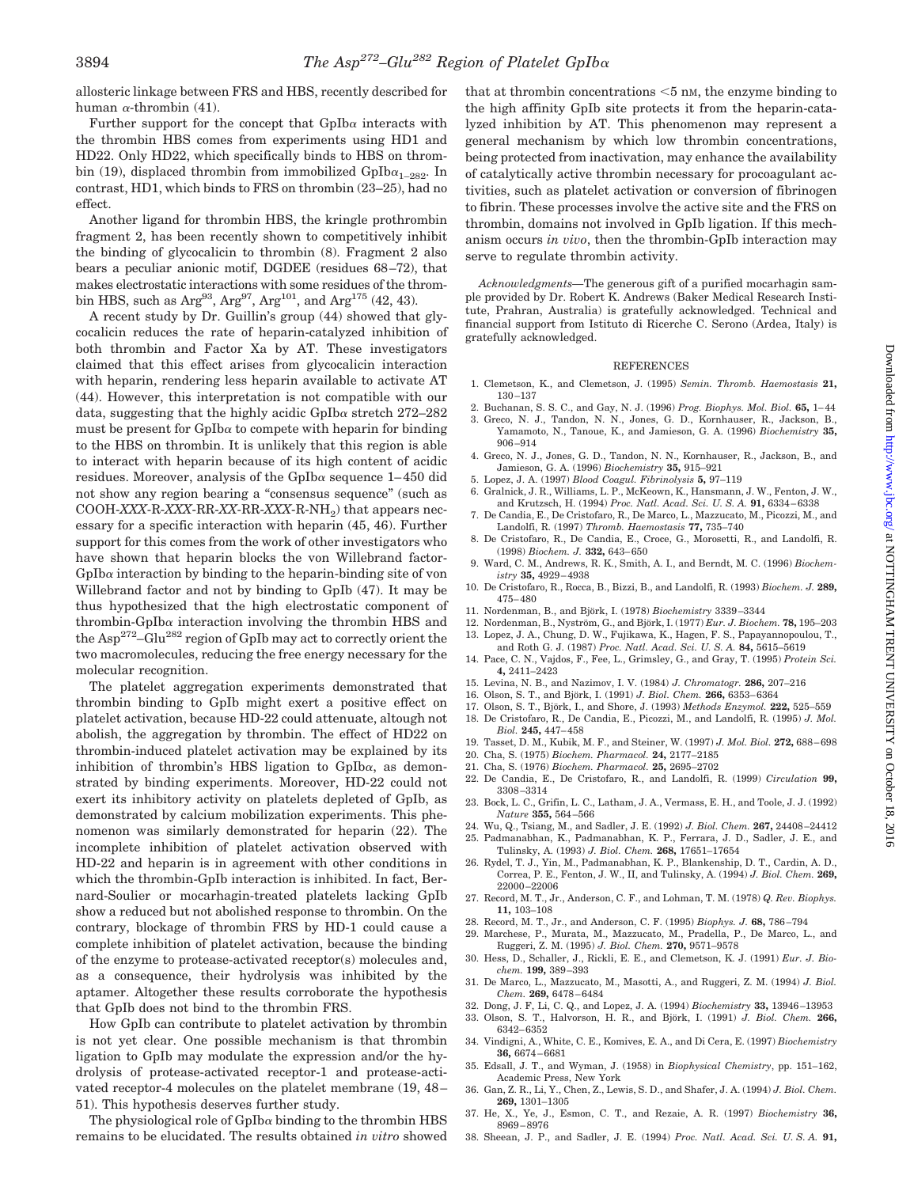allosteric linkage between FRS and HBS, recently described for human  $\alpha$ -thrombin (41).

Further support for the concept that  $GpIb\alpha$  interacts with the thrombin HBS comes from experiments using HD1 and HD22. Only HD22, which specifically binds to HBS on thrombin (19), displaced thrombin from immobilized GpIb $\alpha_{1-282}$ . In contrast, HD1, which binds to FRS on thrombin (23–25), had no effect.

Another ligand for thrombin HBS, the kringle prothrombin fragment 2, has been recently shown to competitively inhibit the binding of glycocalicin to thrombin (8). Fragment 2 also bears a peculiar anionic motif, DGDEE (residues 68–72), that makes electrostatic interactions with some residues of the thrombin HBS, such as Arg<sup>93</sup>, Arg<sup>97</sup>, Arg<sup>101</sup>, and Arg<sup>175</sup> (42, 43).

A recent study by Dr. Guillin's group (44) showed that glycocalicin reduces the rate of heparin-catalyzed inhibition of both thrombin and Factor Xa by AT. These investigators claimed that this effect arises from glycocalicin interaction with heparin, rendering less heparin available to activate AT (44). However, this interpretation is not compatible with our data, suggesting that the highly acidic  $GpIb\alpha$  stretch 272–282 must be present for  $GpIb\alpha$  to compete with heparin for binding to the HBS on thrombin. It is unlikely that this region is able to interact with heparin because of its high content of acidic residues. Moreover, analysis of the GpIb $\alpha$  sequence 1–450 did not show any region bearing a "consensus sequence" (such as COOH-*XXX*-R-*XXX*-RR-*XX*-RR-*XXX*-R-NH2) that appears necessary for a specific interaction with heparin (45, 46). Further support for this comes from the work of other investigators who have shown that heparin blocks the von Willebrand factor- $GpIb\alpha$  interaction by binding to the heparin-binding site of von Willebrand factor and not by binding to GpIb (47). It may be thus hypothesized that the high electrostatic component of thrombin-GpIb $\alpha$  interaction involving the thrombin HBS and the Asp272–Glu282 region of GpIb may act to correctly orient the two macromolecules, reducing the free energy necessary for the molecular recognition.

The platelet aggregation experiments demonstrated that thrombin binding to GpIb might exert a positive effect on platelet activation, because HD-22 could attenuate, altough not abolish, the aggregation by thrombin. The effect of HD22 on thrombin-induced platelet activation may be explained by its inhibition of thrombin's HBS ligation to  $GpIb\alpha$ , as demonstrated by binding experiments. Moreover, HD-22 could not exert its inhibitory activity on platelets depleted of GpIb, as demonstrated by calcium mobilization experiments. This phenomenon was similarly demonstrated for heparin (22). The incomplete inhibition of platelet activation observed with HD-22 and heparin is in agreement with other conditions in which the thrombin-GpIb interaction is inhibited. In fact, Bernard-Soulier or mocarhagin-treated platelets lacking GpIb show a reduced but not abolished response to thrombin. On the contrary, blockage of thrombin FRS by HD-1 could cause a complete inhibition of platelet activation, because the binding of the enzyme to protease-activated receptor(s) molecules and, as a consequence, their hydrolysis was inhibited by the aptamer. Altogether these results corroborate the hypothesis that GpIb does not bind to the thrombin FRS.

How GpIb can contribute to platelet activation by thrombin is not yet clear. One possible mechanism is that thrombin ligation to GpIb may modulate the expression and/or the hydrolysis of protease-activated receptor-1 and protease-activated receptor-4 molecules on the platelet membrane (19, 48– 51). This hypothesis deserves further study.

The physiological role of  $GpIb\alpha$  binding to the thrombin HBS remains to be elucidated. The results obtained *in vitro* showed that at thrombin concentrations  $<$  5 nm, the enzyme binding to the high affinity GpIb site protects it from the heparin-catalyzed inhibition by AT. This phenomenon may represent a general mechanism by which low thrombin concentrations, being protected from inactivation, may enhance the availability of catalytically active thrombin necessary for procoagulant activities, such as platelet activation or conversion of fibrinogen to fibrin. These processes involve the active site and the FRS on thrombin, domains not involved in GpIb ligation. If this mechanism occurs *in vivo*, then the thrombin-GpIb interaction may serve to regulate thrombin activity.

*Acknowledgments—*The generous gift of a purified mocarhagin sample provided by Dr. Robert K. Andrews (Baker Medical Research Institute, Prahran, Australia) is gratefully acknowledged. Technical and financial support from Istituto di Ricerche C. Serono (Ardea, Italy) is gratefully acknowledged.

#### REFERENCES

- 1. Clemetson, K., and Clemetson, J. (1995) *Semin. Thromb. Haemostasis* **21,** 130–137
- 2. Buchanan, S. S. C., and Gay, N. J. (1996) *Prog. Biophys. Mol. Biol.* **65,** 1–44 3. Greco, N. J., Tandon, N. N., Jones, G. D., Kornhauser, R., Jackson, B., Yamamoto, N., Tanoue, K., and Jamieson, G. A. (1996) *Biochemistry* **35,** 906–914
- 4. Greco, N. J., Jones, G. D., Tandon, N. N., Kornhauser, R., Jackson, B., and Jamieson, G. A. (1996) *Biochemistry* **35,** 915–921
- 5. Lopez, J. A. (1997) *Blood Coagul. Fibrinolysis* **5,** 97–119
- 6. Gralnick, J. R., Williams, L. P., McKeown, K., Hansmann, J. W., Fenton, J. W., and Krutzsch, H. (1994) *Proc. Natl. Acad. Sci. U. S. A.* **91,** 6334–6338
- 7. De Candia, E., De Cristofaro, R., De Marco, L., Mazzucato, M., Picozzi, M., and Landolfi, R. (1997) *Thromb. Haemostasis* **77,** 735–740
- 8. De Cristofaro, R., De Candia, E., Croce, G., Morosetti, R., and Landolfi, R. (1998) *Biochem. J.* **332,** 643–650
- 9. Ward, C. M., Andrews, R. K., Smith, A. I., and Berndt, M. C. (1996) *Biochemistry* **35,** 4929–4938
- 10. De Cristofaro, R., Rocca, B., Bizzi, B., and Landolfi, R. (1993) *Biochem. J.* **289,** 475–480
- 11. Nordenman, B., and Björk, I. (1978) *Biochemistry* 3339-3344
- 12. Nordenman, B., Nyström, G., and Björk, I. (1977) *Eur. J. Biochem.* **78,** 195–203
- 13. Lopez, J. A., Chung, D. W., Fujikawa, K., Hagen, F. S., Papayannopoulou, T., and Roth G. J. (1987) *Proc. Natl. Acad. Sci. U. S. A.* **84,** 5615–5619
- 14. Pace, C. N., Vajdos, F., Fee, L., Grimsley, G., and Gray, T. (1995) *Protein Sci.* **4,** 2411–2423
- 15. Levina, N. B., and Nazimov, I. V. (1984) *J. Chromatogr.* **286,** 207–216
- 16. Olson, S. T., and Björk, I. (1991) *J. Biol. Chem.* **266,** 6353-6364
- 17. Olson, S. T., Björk, I., and Shore, J. (1993) *Methods Enzymol*. **222,** 525-559 18. De Cristofaro, R., De Candia, E., Picozzi, M., and Landolfi, R. (1995) *J. Mol.*
- *Biol.* **245,** 447–458 19. Tasset, D. M., Kubik, M. F., and Steiner, W. (1997) *J. Mol. Biol.* **272,** 688–698
- 20. Cha, S. (1975) *Biochem. Pharmacol.* **24,** 2177–2185 21. Cha, S. (1976) *Biochem. Pharmacol.* **25,** 2695–2702
- 22. De Candia, E., De Cristofaro, R., and Landolfi, R. (1999) *Circulation* **99,** 3308–3314
- 23. Bock, L. C., Grifin, L. C., Latham, J. A., Vermass, E. H., and Toole, J. J. (1992) *Nature* **355,** 564–566
- 24. Wu, Q., Tsiang, M., and Sadler, J. E. (1992) *J. Biol. Chem.* **267,** 24408–24412
- 25. Padmanabhan, K., Padmanabhan, K. P., Ferrara, J. D., Sadler, J. E., and Tulinsky, A. (1993) *J. Biol. Chem.* **268,** 17651–17654
- 26. Rydel, T. J., Yin, M., Padmanabhan, K. P., Blankenship, D. T., Cardin, A. D., Correa, P. E., Fenton, J. W., II, and Tulinsky, A. (1994) *J. Biol. Chem.* **269,** 22000–22006
- 27. Record, M. T., Jr., Anderson, C. F., and Lohman, T. M. (1978) *Q. Rev. Biophys.* **11,** 103–108
- 28. Record, M. T., Jr., and Anderson, C. F. (1995) *Biophys. J.* **68,** 786–794
- 29. Marchese, P., Murata, M., Mazzucato, M., Pradella, P., De Marco, L., and Ruggeri, Z. M. (1995) *J. Biol. Chem.* **270,** 9571–9578
- 30. Hess, D., Schaller, J., Rickli, E. E., and Clemetson, K. J. (1991) *Eur. J. Biochem.* **199,** 389–393
- 31. De Marco, L., Mazzucato, M., Masotti, A., and Ruggeri, Z. M. (1994) *J. Biol. Chem.* **269,** 6478–6484
- 32. Dong, J. F, Li, C. Q., and Lopez, J. A. (1994) *Biochemistry* **33,** 13946–13953
- 33. Olson, S. T., Halvorson, H. R., and Björk, I. (1991) *J. Biol. Chem.* 266, 6342–6352
- 34. Vindigni, A., White, C. E., Komives, E. A., and Di Cera, E. (1997) *Biochemistry* **36,** 6674–6681
- 35. Edsall, J. T., and Wyman, J. (1958) in *Biophysical Chemistry*, pp. 151–162, Academic Press, New York
- 36. Gan, Z. R., Li, Y., Chen, Z., Lewis, S. D., and Shafer, J. A. (1994) *J. Biol. Chem.* **269,** 1301–1305
- 37. He, X., Ye, J., Esmon, C. T., and Rezaie, A. R. (1997) *Biochemistry* **36,** 8969–8976
- 38. Sheean, J. P., and Sadler, J. E. (1994) *Proc. Natl. Acad. Sci. U. S. A.* **91,**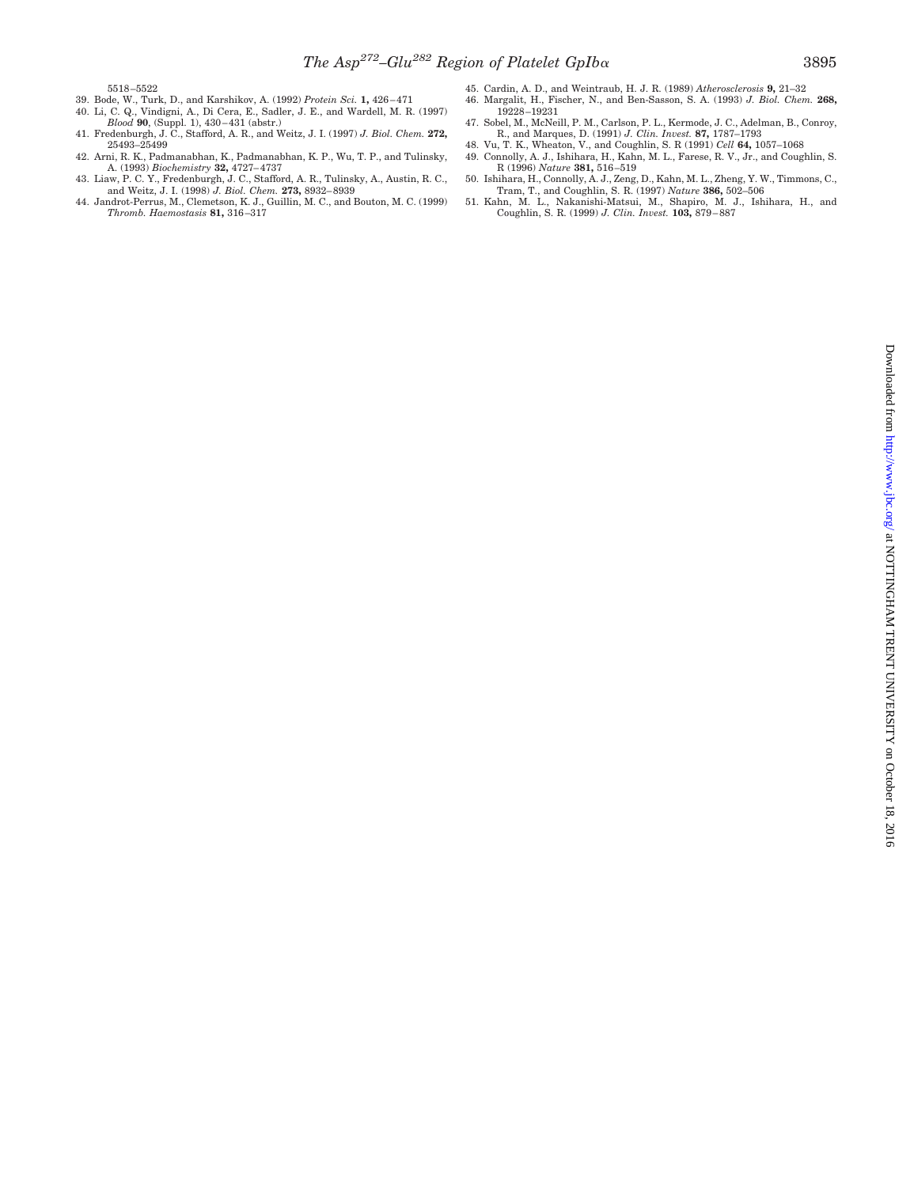5518–5522

- 39. Bode, W., Turk, D., and Karshikov, A. (1992) *Protein Sci.* **1,** 426–471 40. Li, C. Q., Vindigni, A., Di Cera, E., Sadler, J. E., and Wardell, M. R. (1997)
- 
- *Blood* **90**, (Suppl. 1), 430–431 (abstr.) 41. Fredenburgh, J. C., Stafford, A. R., and Weitz, J. I. (1997) *J. Biol. Chem.* **272,** 25493–25499
- 
- 42. Arni, R. K., Padmanabhan, K., Padmanabhan, K. P., Wu, T. P., and Tulinsky, A. (1993) *Biochemistry* **32,** 4727–4737 43. Liaw, P. C. Y., Fredenburgh, J. C., Stafford, A. R., Tulinsky, A., Austin, R. C., and Weitz, J. I. (1998) *J. Biol. Chem.* **273,** 8932–8939
- 44. Jandrot-Perrus, M., Clemetson, K. J., Guillin, M. C., and Bouton, M. C. (1999) *Thromb. Haemostasis* **81,** 316–317
- 45. Cardin, A. D., and Weintraub, H. J. R. (1989) *Atherosclerosis* **9,** 21–32 46. Margalit, H., Fischer, N., and Ben-Sasson, S. A. (1993) *J. Biol. Chem.* **268,** 19228–19231
- 47. Sobel, M., McNeill, P. M., Carlson, P. L., Kermode, J. C., Adelman, B., Conroy, R., and Marques, D. (1991) *J. Clin. Invest.* **87,** 1787–1793
- 
- 
- 48. Vu, T. K., Wheaton, V., and Coughlin, S. R (1991) Cell **64,** 1057–1068<br>49. Connolly, A. J., Ishihara, H., Kahn, M. L., Farese, R. V., Jr., and Coughlin, S.<br>6. R (1996) *Nature* **381**, 516–519<br>50. Ishihara, H., Connolly
- Coughlin, S. R. (1999) *J. Clin. Invest.* **103,** 879–887